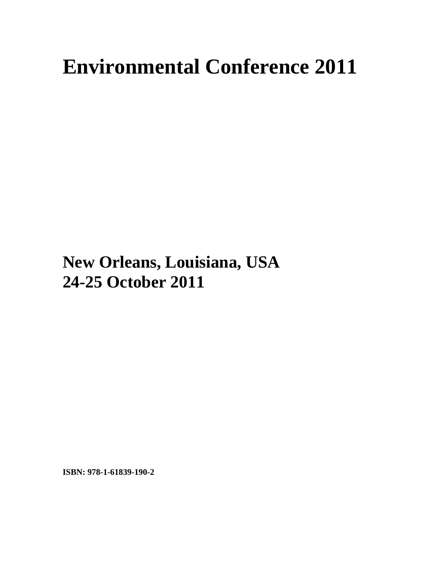## **Environmental Conference 2011**

## **New Orleans, Louisiana, USA 24-25 October 2011**

**ISBN: 978-1-61839-190-2**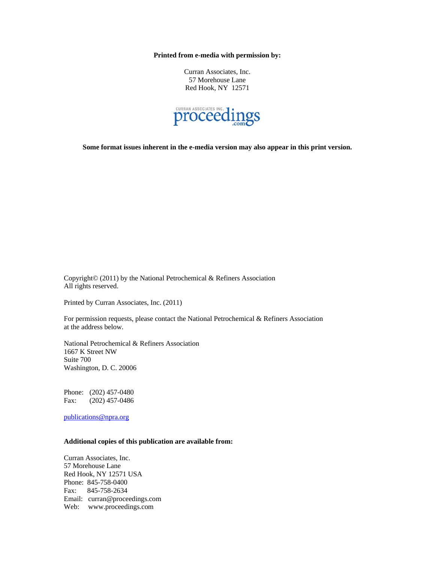**Printed from e-media with permission by:** 

Curran Associates, Inc. 57 Morehouse Lane Red Hook, NY 12571



**Some format issues inherent in the e-media version may also appear in this print version.** 

Copyright© (2011) by the National Petrochemical & Refiners Association All rights reserved.

Printed by Curran Associates, Inc. (2011)

For permission requests, please contact the National Petrochemical & Refiners Association at the address below.

National Petrochemical & Refiners Association 1667 K Street NW Suite 700 Washington, D. C. 20006

Phone: (202) 457-0480 Fax: (202) 457-0486

publications@npra.org

## **Additional copies of this publication are available from:**

Curran Associates, Inc. 57 Morehouse Lane Red Hook, NY 12571 USA Phone: 845-758-0400 Fax: 845-758-2634 Email: curran@proceedings.com Web: www.proceedings.com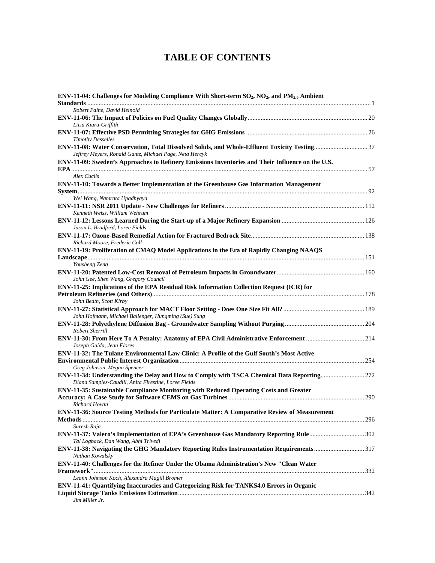## **TABLE OF CONTENTS**

| ENV-11-04: Challenges for Modeling Compliance With Short-term $SO_2$ , NO <sub>2</sub> , and PM <sub>2.5</sub> Ambient                             |  |
|----------------------------------------------------------------------------------------------------------------------------------------------------|--|
| Robert Paine, David Heinold                                                                                                                        |  |
|                                                                                                                                                    |  |
| Liisa Kiuru-Griffith                                                                                                                               |  |
| <b>Timothy Desselles</b>                                                                                                                           |  |
| Jeffrey Meyers, Ronald Gantz, Michael Page, Neta Hercyk                                                                                            |  |
| ENV-11-09: Sweden's Approaches to Refinery Emissions Inventories and Their Influence on the U.S.                                                   |  |
| Alex Cuclis                                                                                                                                        |  |
| ENV-11-10: Towards a Better Implementation of the Greenhouse Gas Information Management                                                            |  |
|                                                                                                                                                    |  |
| Wei Wang, Namrata Upadhyaya                                                                                                                        |  |
| Kenneth Weiss, William Wehrum                                                                                                                      |  |
|                                                                                                                                                    |  |
| Jason L. Bradford, Loree Fields                                                                                                                    |  |
| Richard Moore, Frederic Coll                                                                                                                       |  |
| ENV-11-19: Proliferation of CMAQ Model Applications in the Era of Rapidly Changing NAAQS                                                           |  |
|                                                                                                                                                    |  |
| Yousheng Zeng                                                                                                                                      |  |
| John Gee, Shen Wang, Gregory Council                                                                                                               |  |
| ENV-11-25: Implications of the EPA Residual Risk Information Collection Request (ICR) for                                                          |  |
| John Beath, Scott Kirby                                                                                                                            |  |
|                                                                                                                                                    |  |
| John Hofmann, Michael Ballenger, Hungming (Sue) Sung                                                                                               |  |
| Robert Sherrill                                                                                                                                    |  |
| Joseph Guida, Jean Flores                                                                                                                          |  |
| ENV-11-32: The Tulane Environmental Law Clinic: A Profile of the Gulf South's Most Active                                                          |  |
|                                                                                                                                                    |  |
| Greg Johnson, Megan Spencer                                                                                                                        |  |
| ENV-11-34: Understanding the Delay and How to Comply with TSCA Chemical Data Reporting 272<br>Diana Samples-Caudill, Anita Firestine, Loree Fields |  |
| ENV-11-35: Sustainable Compliance Monitoring with Reduced Operating Costs and Greater                                                              |  |
| Richard Hovan                                                                                                                                      |  |
| ENV-11-36: Source Testing Methods for Particulate Matter: A Comparative Review of Measurement                                                      |  |
|                                                                                                                                                    |  |
| Suresh Raja                                                                                                                                        |  |
| ENV-11-37: Valero's Implementation of EPA's Greenhouse Gas Mandatory Reporting Rule302<br>Tal Logback, Dan Wang, Abhi Trivedi                      |  |
| ENV-11-38: Navigating the GHG Mandatory Reporting Rules Instrumentation Requirements317<br>Nathan Kowalsky                                         |  |
| ENV-11-40: Challenges for the Refiner Under the Obama Administration's New "Clean Water                                                            |  |
|                                                                                                                                                    |  |
| Leann Johnson Koch, Alexandra Magill Bromer                                                                                                        |  |
| ENV-11-41: Quantifying Inaccuracies and Categorizing Risk for TANKS4.0 Errors in Organic                                                           |  |
| Jim Miller Jr.                                                                                                                                     |  |